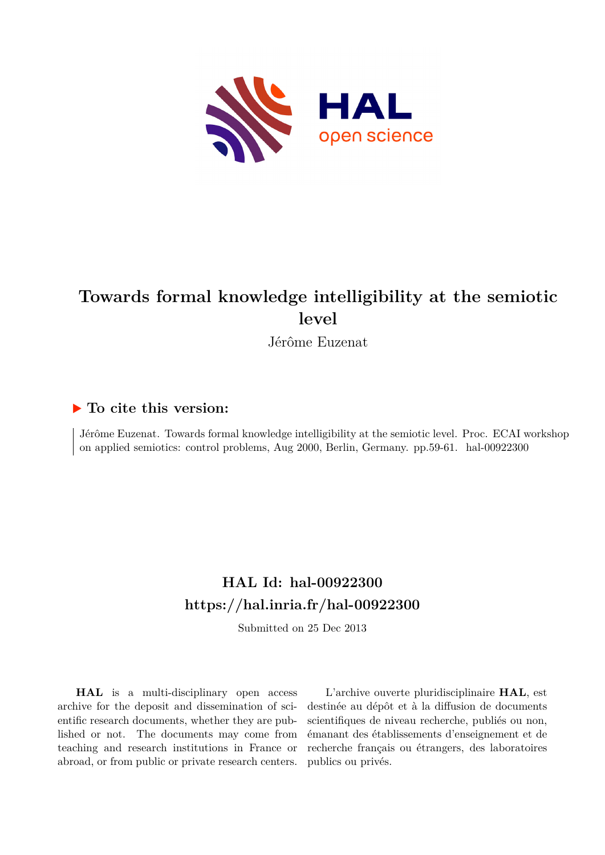

# **Towards formal knowledge intelligibility at the semiotic level**

Jérôme Euzenat

### **To cite this version:**

Jérôme Euzenat. Towards formal knowledge intelligibility at the semiotic level. Proc. ECAI workshop on applied semiotics: control problems, Aug 2000, Berlin, Germany. pp.59-61. hal-00922300

## **HAL Id: hal-00922300 <https://hal.inria.fr/hal-00922300>**

Submitted on 25 Dec 2013

**HAL** is a multi-disciplinary open access archive for the deposit and dissemination of scientific research documents, whether they are published or not. The documents may come from teaching and research institutions in France or abroad, or from public or private research centers.

L'archive ouverte pluridisciplinaire **HAL**, est destinée au dépôt et à la diffusion de documents scientifiques de niveau recherche, publiés ou non, émanant des établissements d'enseignement et de recherche français ou étrangers, des laboratoires publics ou privés.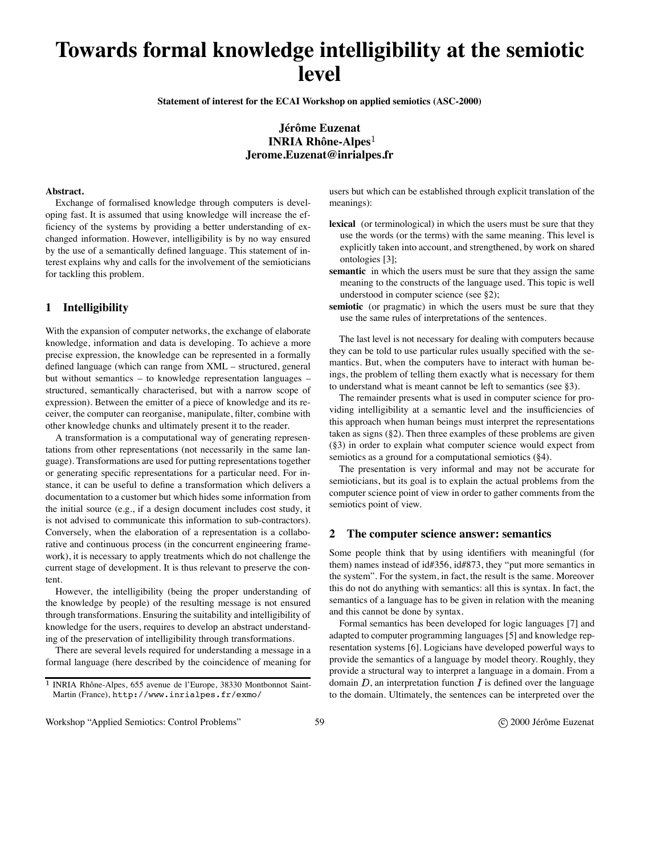# **Towards formal knowledge intelligibility at the semiotic level**

**Statement of interest for the ECAI Workshop on applied semiotics (ASC-2000)**

**Jérôme Euzenat INRIA Rhône-Alpes Jerome.Euzenat@inrialpes.fr**

#### **Abstract.**

Exchange of formalised knowledge through computers is developing fast. It is assumed that using knowledge will increase the efficiency of the systems by providing a better understanding of exchanged information. However, intelligibility is by no way ensured by the use of a semantically defined language. This statement of interest explains why and calls for the involvement of the semioticians for tackling this problem.

#### **1 Intelligibility**

With the expansion of computer networks, the exchange of elaborate knowledge, information and data is developing. To achieve a more precise expression, the knowledge can be represented in a formally defined language (which can range from XML – structured, general but without semantics – to knowledge representation languages – structured, semantically characterised, but with a narrow scope of expression). Between the emitter of a piece of knowledge and its receiver, the computer can reorganise, manipulate, filter, combine with other knowledge chunks and ultimately present it to the reader.

A transformation is a computational way of generating representations from other representations (not necessarily in the same language). Transformations are used for putting representations together or generating specific representations for a particular need. For instance, it can be useful to define a transformation which delivers a documentation to a customer but which hides some information from the initial source (e.g., if a design document includes cost study, it is not advised to communicate this information to sub-contractors). Conversely, when the elaboration of a representation is a collaborative and continuous process (in the concurrent engineering framework), it is necessary to apply treatments which do not challenge the current stage of development. It is thus relevant to preserve the content.

However, the intelligibility (being the proper understanding of the knowledge by people) of the resulting message is not ensured through transformations. Ensuring the suitability and intelligibility of knowledge for the users, requires to develop an abstract understanding of the preservation of intelligibility through transformations.

There are several levels required for understanding a message in a formal language (here described by the coincidence of meaning for

users but which can be established through explicit translation of the meanings):

- **lexical** (or terminological) in which the users must be sure that they use the words (or the terms) with the same meaning. This level is explicitly taken into account, and strengthened, by work on shared ontologies [3];
- **semantic** in which the users must be sure that they assign the same meaning to the constructs of the language used. This topic is well understood in computer science (see §2);
- **semiotic** (or pragmatic) in which the users must be sure that they use the same rules of interpretations of the sentences.

The last level is not necessary for dealing with computers because they can be told to use particular rules usually specified with the semantics. But, when the computers have to interact with human beings, the problem of telling them exactly what is necessary for them to understand what is meant cannot be left to semantics (see §3).

The remainder presents what is used in computer science for providing intelligibility at a semantic level and the insufficiencies of this approach when human beings must interpret the representations taken as signs (§2). Then three examples of these problems are given (§3) in order to explain what computer science would expect from semiotics as a ground for a computational semiotics (§4).

The presentation is very informal and may not be accurate for semioticians, but its goal is to explain the actual problems from the computer science point of view in order to gather comments from the semiotics point of view.

#### **2 The computer science answer: semantics**

Some people think that by using identifiers with meaningful (for them) names instead of id#356, id#873, they "put more semantics in the system". For the system, in fact, the result is the same. Moreover this do not do anything with semantics: all this is syntax. In fact, the semantics of a language has to be given in relation with the meaning and this cannot be done by syntax.

Formal semantics has been developed for logic languages [7] and adapted to computer programming languages [5] and knowledge representation systems [6]. Logicians have developed powerful ways to provide the semantics of a language by model theory. Roughly, they provide a structural way to interpret a language in a domain. From a domain  $D$ , an interpretation function  $I$  is defined over the language to the domain. Ultimately, the sentences can be interpreted over the

<sup>&</sup>lt;sup>1</sup> INRIA Rhône-Alpes, 655 avenue de l'Europe, 38330 Montbonnot Saint-Martin (France), http://www.inrialpes.fr/exmo/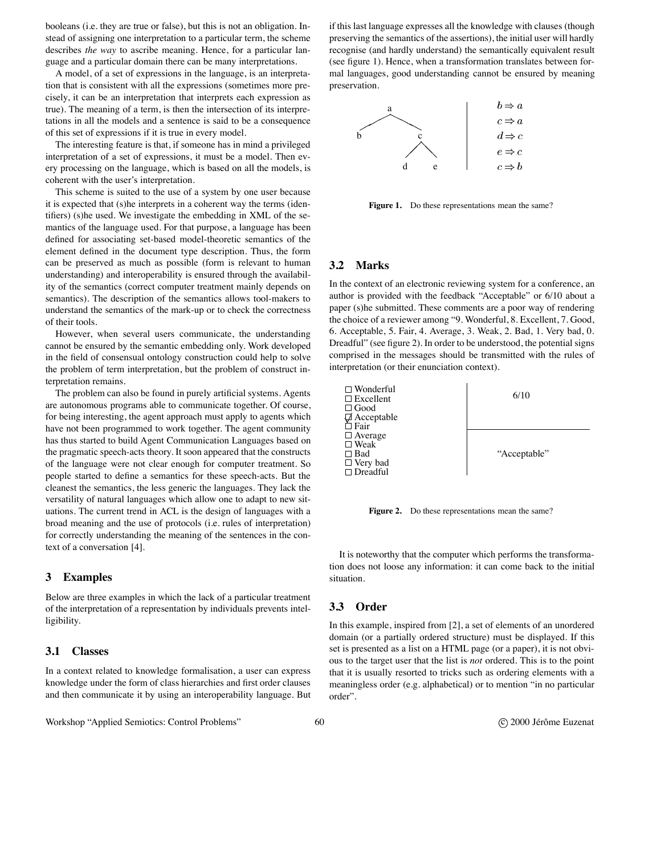booleans (i.e. they are true or false), but this is not an obligation. Instead of assigning one interpretation to a particular term, the scheme describes *the way* to ascribe meaning. Hence, for a particular language and a particular domain there can be many interpretations.

A model, of a set of expressions in the language, is an interpretation that is consistent with all the expressions (sometimes more precisely, it can be an interpretation that interprets each expression as true). The meaning of a term, is then the intersection of its interpretations in all the models and a sentence is said to be a consequence of this set of expressions if it is true in every model.

The interesting feature is that, if someone has in mind a privileged interpretation of a set of expressions, it must be a model. Then every processing on the language, which is based on all the models, is coherent with the user's interpretation.

This scheme is suited to the use of a system by one user because it is expected that (s)he interprets in a coherent way the terms (identifiers) (s)he used. We investigate the embedding in XML of the semantics of the language used. For that purpose, a language has been defined for associating set-based model-theoretic semantics of the element defined in the document type description. Thus, the form can be preserved as much as possible (form is relevant to human understanding) and interoperability is ensured through the availability of the semantics (correct computer treatment mainly depends on semantics). The description of the semantics allows tool-makers to understand the semantics of the mark-up or to check the correctness of their tools.

However, when several users communicate, the understanding cannot be ensured by the semantic embedding only. Work developed in the field of consensual ontology construction could help to solve the problem of term interpretation, but the problem of construct interpretation remains.

The problem can also be found in purely artificial systems. Agents are autonomous programs able to communicate together. Of course, for being interesting, the agent approach must apply to agents which have not been programmed to work together. The agent community has thus started to build Agent Communication Languages based on the pragmatic speech-acts theory. It soon appeared that the constructs of the language were not clear enough for computer treatment. So people started to define a semantics for these speech-acts. But the cleanest the semantics, the less generic the languages. They lack the versatility of natural languages which allow one to adapt to new situations. The current trend in ACL is the design of languages with a broad meaning and the use of protocols (i.e. rules of interpretation) for correctly understanding the meaning of the sentences in the context of a conversation [4].

#### **3 Examples**

Below are three examples in which the lack of a particular treatment of the interpretation of a representation by individuals prevents intelligibility.

#### **3.1 Classes**

In a context related to knowledge formalisation, a user can express knowledge under the form of class hierarchies and first order clauses and then communicate it by using an interoperability language. But

Workshop "Applied Semiotics: Control Problems" 60 60 control Problems (C) 2000 Jérôme Euzenat

if this last language expresses all the knowledge with clauses (though preserving the semantics of the assertions), the initial user will hardly recognise (and hardly understand) the semantically equivalent result (see figure 1). Hence, when a transformation translates between formal languages, good understanding cannot be ensured by meaning preservation.



Figure 1. Do these representations mean the same?

#### **3.2 Marks**

In the context of an electronic reviewing system for a conference, an author is provided with the feedback "Acceptable" or 6/10 about a paper (s)he submitted. These comments are a poor way of rendering the choice of a reviewer among "9. Wonderful, 8. Excellent, 7. Good, 6. Acceptable, 5. Fair, 4. Average, 3. Weak, 2. Bad, 1. Very bad, 0. Dreadful" (see figure 2). In order to be understood, the potential signs comprised in the messages should be transmitted with the rules of interpretation (or their enunciation context).



**Figure 2.** Do these representations mean the same?

It is noteworthy that the computer which performs the transformation does not loose any information: it can come back to the initial situation.

#### **3.3 Order**

In this example, inspired from [2], a set of elements of an unordered domain (or a partially ordered structure) must be displayed. If this set is presented as a list on a HTML page (or a paper), it is not obvious to the target user that the list is *not* ordered. This is to the point that it is usually resorted to tricks such as ordering elements with a meaningless order (e.g. alphabetical) or to mention "in no particular order".